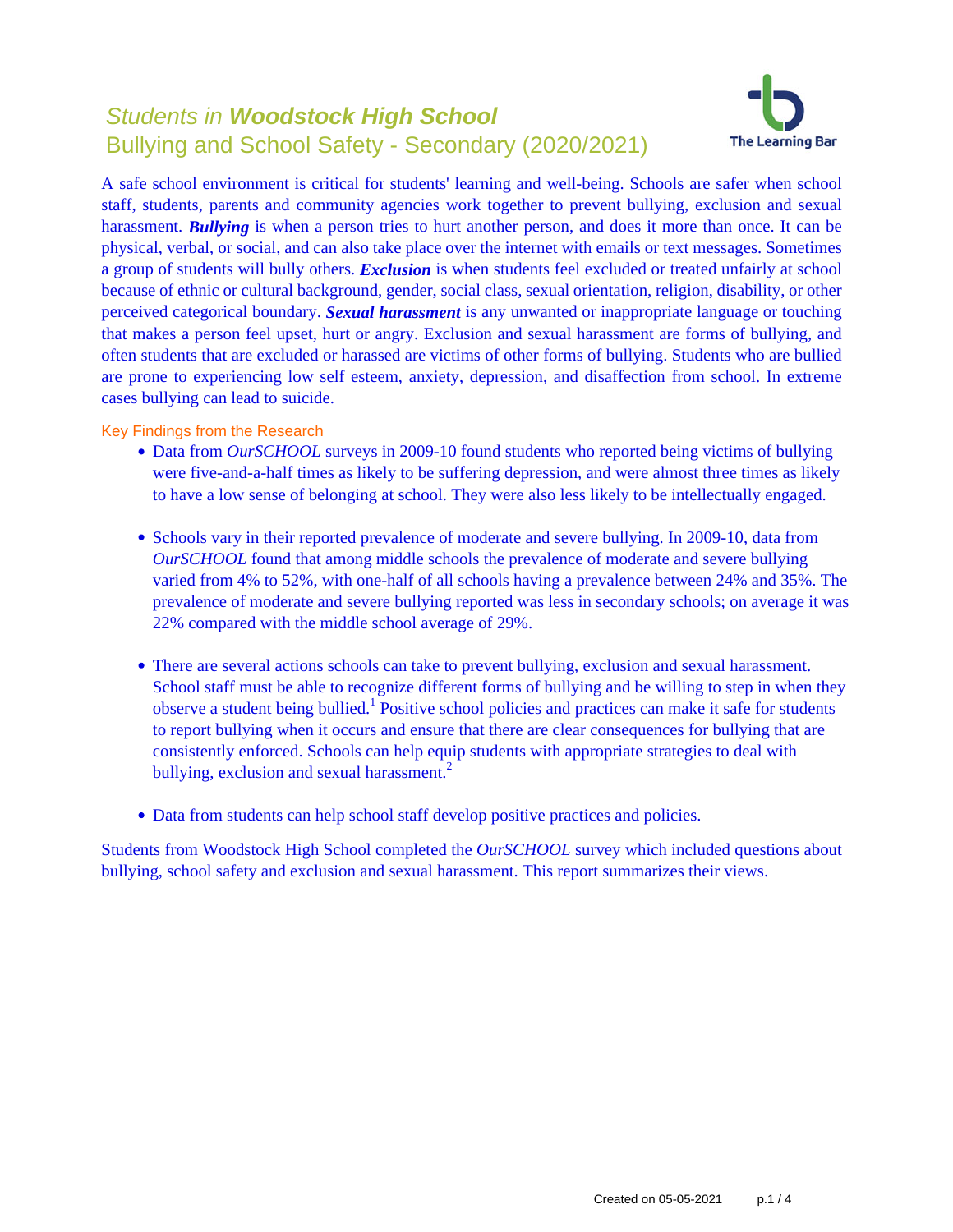# Students in **Woodstock High School** Bullying and School Safety - Secondary (2020/2021)



A safe school environment is critical for students' learning and well-being. Schools are safer when school staff, students, parents and community agencies work together to prevent bullying, exclusion and sexual harassment. **Bullying** is when a person tries to hurt another person, and does it more than once. It can be physical, verbal, or social, and can also take place over the internet with emails or text messages. Sometimes a group of students will bully others. *Exclusion* is when students feel excluded or treated unfairly at school because of ethnic or cultural background, gender, social class, sexual orientation, religion, disability, or other perceived categorical boundary. *Sexual harassment* is any unwanted or inappropriate language or touching that makes a person feel upset, hurt or angry. Exclusion and sexual harassment are forms of bullying, and often students that are excluded or harassed are victims of other forms of bullying. Students who are bullied are prone to experiencing low self esteem, anxiety, depression, and disaffection from school. In extreme cases bullying can lead to suicide.

Key Findings from the Research

- Data from *OurSCHOOL* surveys in 2009-10 found students who reported being victims of bullying were five-and-a-half times as likely to be suffering depression, and were almost three times as likely to have a low sense of belonging at school. They were also less likely to be intellectually engaged.
- Schools vary in their reported prevalence of moderate and severe bullying. In 2009-10, data from *OurSCHOOL* found that among middle schools the prevalence of moderate and severe bullying varied from 4% to 52%, with one-half of all schools having a prevalence between 24% and 35%. The prevalence of moderate and severe bullying reported was less in secondary schools; on average it was 22% compared with the middle school average of 29%.
- There are several actions schools can take to prevent bullying, exclusion and sexual harassment. School staff must be able to recognize different forms of bullying and be willing to step in when they observe a student being bullied.<sup>1</sup> Positive school policies and practices can make it safe for students to report bullying when it occurs and ensure that there are clear consequences for bullying that are consistently enforced. Schools can help equip students with appropriate strategies to deal with bullying, exclusion and sexual harassment.<sup>2</sup>
- Data from students can help school staff develop positive practices and policies.

Students from Woodstock High School completed the *OurSCHOOL* survey which included questions about bullying, school safety and exclusion and sexual harassment. This report summarizes their views.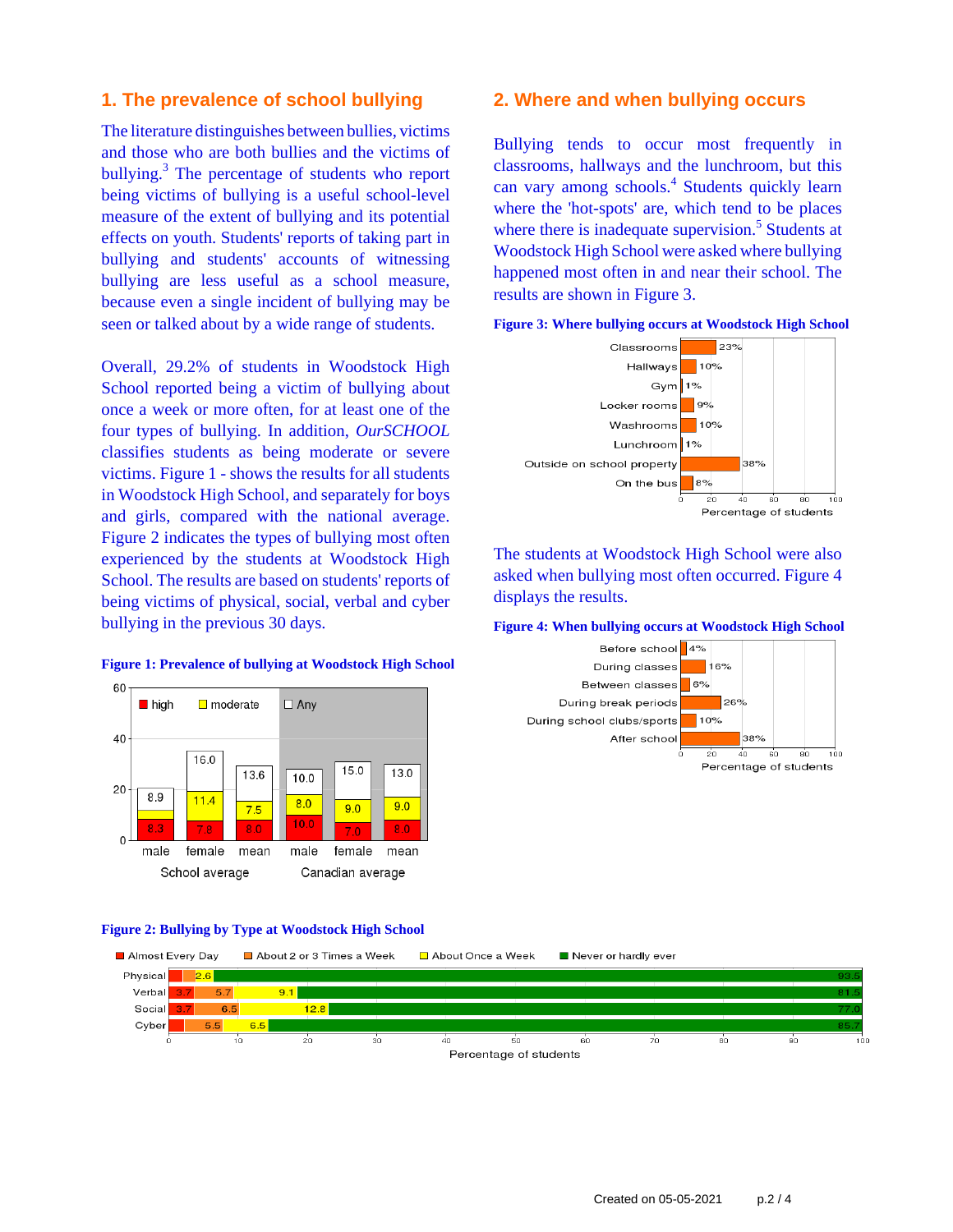## **1. The prevalence of school bullying**

The literature distinguishes between bullies, victims and those who are both bullies and the victims of bullying.<sup>3</sup> The percentage of students who report being victims of bullying is a useful school-level measure of the extent of bullying and its potential effects on youth. Students' reports of taking part in bullying and students' accounts of witnessing bullying are less useful as a school measure, because even a single incident of bullying may be seen or talked about by a wide range of students.

Overall, 29.2% of students in Woodstock High School reported being a victim of bullying about once a week or more often, for at least one of the four types of bullying. In addition, *OurSCHOOL* classifies students as being moderate or severe victims. Figure 1 - shows the results for all students in Woodstock High School, and separately for boys and girls, compared with the national average. Figure 2 indicates the types of bullying most often experienced by the students at Woodstock High School. The results are based on students' reports of being victims of physical, social, verbal and cyber bullying in the previous 30 days.

#### 60 lackson by high  $\Box$  moderate  $\Box$  Any 40 16.0

 $10.0$ 

15.0

13.0

**Figure 1: Prevalence of bullying at Woodstock High School**

#### 20 8.9  $11.4$  $8.0$  $9.0$  $7.5$  $9.0$  $10.0$  $8.0$  $\Omega$ male female mean male female mean School average Canadian average

13.6

## **Figure 2: Bullying by Type at Woodstock High School**



#### **2. Where and when bullying occurs**

Bullying tends to occur most frequently in classrooms, hallways and the lunchroom, but this can vary among schools.<sup>4</sup> Students quickly learn where the 'hot-spots' are, which tend to be places where there is inadequate supervision.<sup>5</sup> Students at Woodstock High School were asked where bullying happened most often in and near their school. The results are shown in Figure 3.



The students at Woodstock High School were also asked when bullying most often occurred. Figure 4 displays the results.

#### **Figure 4: When bullying occurs at Woodstock High School**

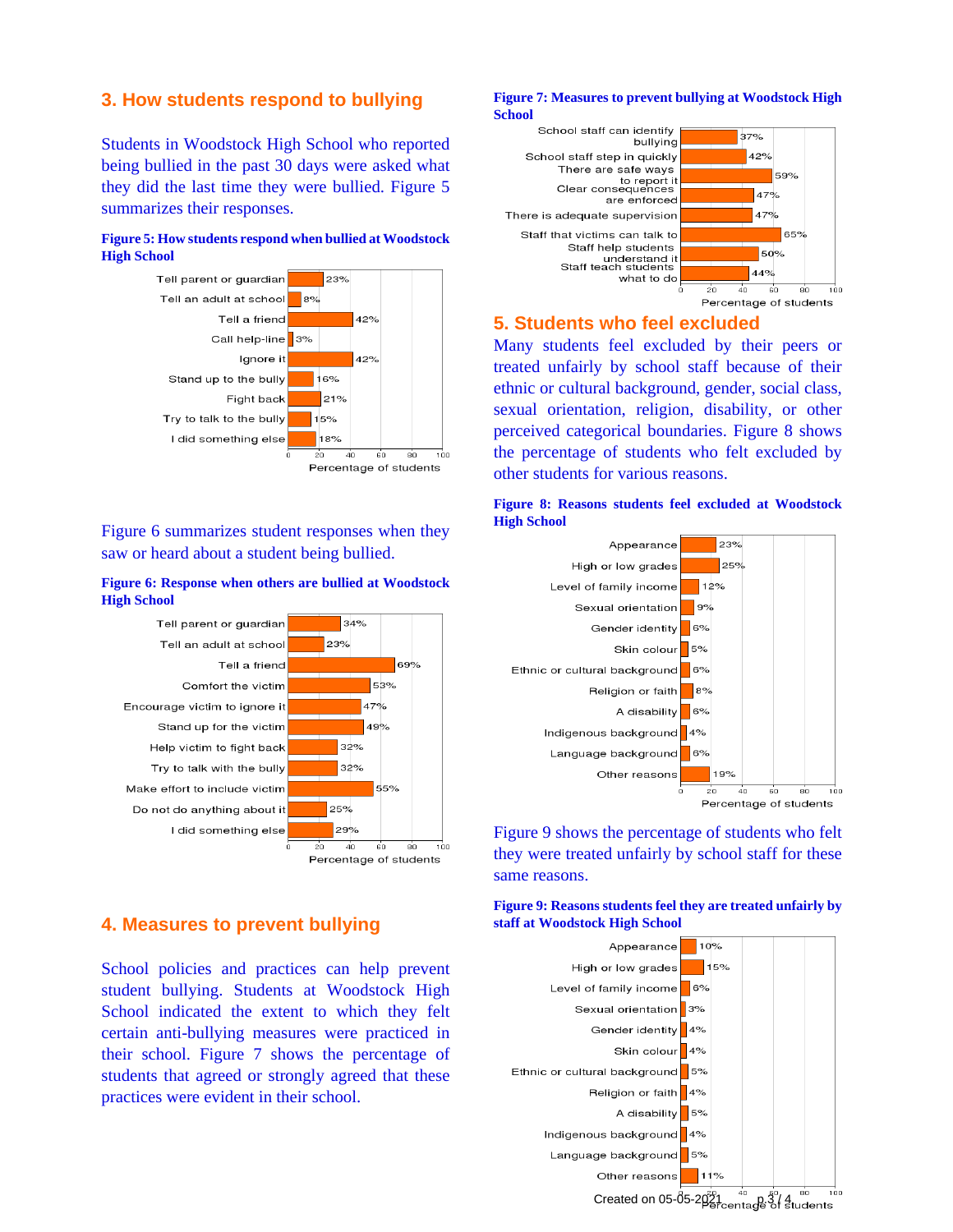## **3. How students respond to bullying**

Students in Woodstock High School who reported being bullied in the past 30 days were asked what they did the last time they were bullied. Figure 5 summarizes their responses.

#### **Figure 5: How students respond when bullied at Woodstock High School**



Figure 6 summarizes student responses when they saw or heard about a student being bullied.

#### **Figure 6: Response when others are bullied at Woodstock High School**



## **4. Measures to prevent bullying**

School policies and practices can help prevent student bullying. Students at Woodstock High School indicated the extent to which they felt certain anti-bullying measures were practiced in their school. Figure 7 shows the percentage of students that agreed or strongly agreed that these practices were evident in their school.

#### **Figure 7: Measures to prevent bullying at Woodstock High School**



## **5. Students who feel excluded**

Many students feel excluded by their peers or treated unfairly by school staff because of their ethnic or cultural background, gender, social class, sexual orientation, religion, disability, or other perceived categorical boundaries. Figure 8 shows the percentage of students who felt excluded by other students for various reasons.





Figure 9 shows the percentage of students who felt they were treated unfairly by school staff for these same reasons.

**Figure 9: Reasons students feel they are treated unfairly by staff at Woodstock High School**